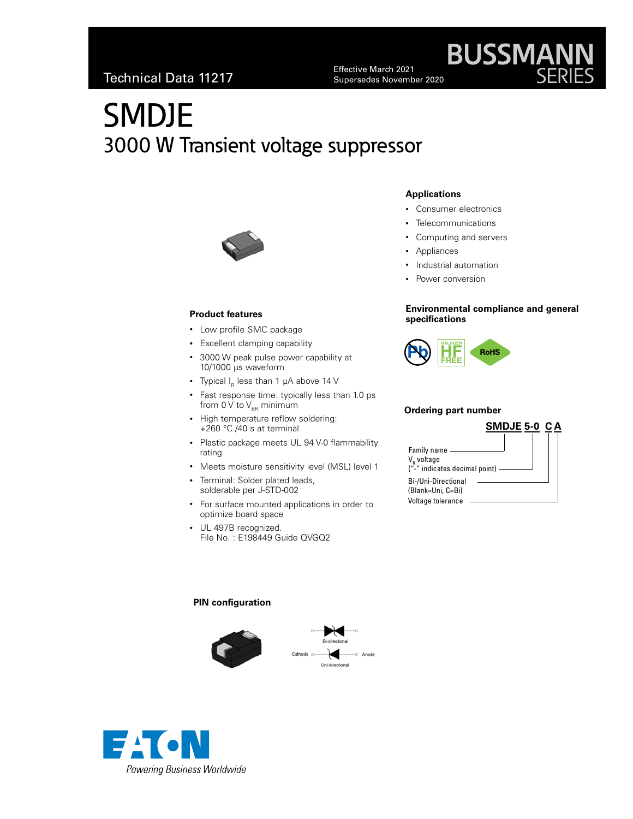Effective March 2021 Supersedes November 2020

# SMDJE 3000 W Transient voltage suppressor



### **Product features**

- Low profile SMC package
- Excellent clamping capability
- 3000 W peak pulse power capability at 10/1000 μs waveform
- Typical  $I_R$  less than 1  $\mu$ A above 14 V
- Fast response time: typically less than 1.0 ps from 0  $\dot{V}$  to  $V_{\text{BB}}$  minimum
- High temperature reflow soldering: +260 °C /40 s at terminal
- Plastic package meets UL 94 V-0 flammability rating
- Meets moisture sensitivity level (MSL) level 1
- Terminal: Solder plated leads, solderable per J-STD-002
- For surface mounted applications in order to optimize board space
- UL 497B recognized. File No. : E198449 Guide QVGQ2

### **Applications**

- Consumer electronics
- Telecommunications
- Computing and servers
- Appliances
- Industrial automation
- Power conversion

### **Environmental compliance and general specifications**

**BUSSMAN** 



### **Ordering part number**

|                                                                        |  | SMDJE 5-0 CA |
|------------------------------------------------------------------------|--|--------------|
| Family name<br>V <sub>R</sub> voltage<br>("-" indicates decimal point) |  |              |
| Bi-/Uni-Directional<br>(Blank=Uni, C=Bi)<br>Voltage tolerance          |  |              |

### **PIN configuration**





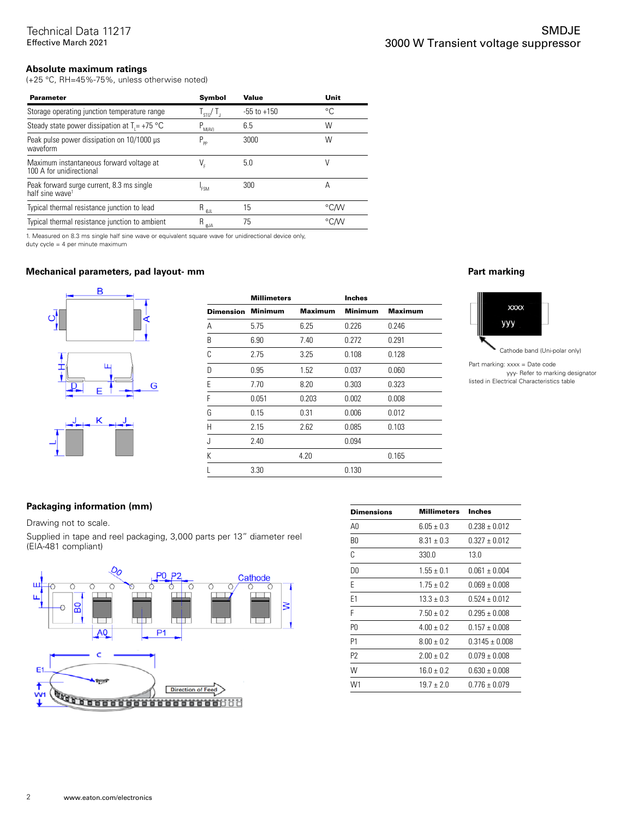### **Absolute maximum ratings**

(+25 °C, RH=45%-75%, unless otherwise noted)

| <b>Parameter</b>                                                         | Symbol                | Value           | Unit |
|--------------------------------------------------------------------------|-----------------------|-----------------|------|
| Storage operating junction temperature range                             | $I_{STG}$             | $-55$ to $+150$ | °C   |
| Steady state power dissipation at $T = +75$ °C                           | $P_{M(AV)}$           | 6.5             | W    |
| Peak pulse power dissipation on 10/1000 µs<br>waveform                   | $P_{\rm pp}$          | 3000            | W    |
| Maximum instantaneous forward voltage at<br>100 A for unidirectional     | V,                    | 5.0             | V    |
| Peak forward surge current, 8.3 ms single<br>half sine wave <sup>1</sup> | <b>FSM</b>            | 300             | А    |
| Typical thermal resistance junction to lead                              | $R_{\theta\text{JL}}$ | 15              | °C∕W |
| Typical thermal resistance junction to ambient                           | $R_{\theta$ ja        | 75              | °C∕W |

1. Measured on 8.3 ms single half sine wave or equivalent square wave for unidirectional device only,

duty cycle = 4 per minute maximum

### **Mechanical parameters, pad layout- mm Part marking**



|                  | <b>Millimeters</b> |                | <b>Inches</b>  |                |
|------------------|--------------------|----------------|----------------|----------------|
| <b>Dimension</b> | <b>Minimum</b>     | <b>Maximum</b> | <b>Minimum</b> | <b>Maximum</b> |
| Α                | 5.75               | 6.25           | 0.226          | 0.246          |
| B                | 6.90               | 7.40           | 0.272          | 0.291          |
| C                | 2.75               | 3.25           | 0.108          | 0.128          |
| D                | 0.95               | 1.52           | 0.037          | 0.060          |
| E                | 7.70               | 8.20           | 0.303          | 0.323          |
| F                | 0.051              | 0.203          | 0.002          | 0.008          |
| G                | 0.15               | 0.31           | 0.006          | 0.012          |
| Н                | 2.15               | 2.62           | 0.085          | 0.103          |
| J.               | 2.40               |                | 0.094          |                |
| К                |                    | 4.20           |                | 0.165          |
|                  | 3.30               |                | 0.130          |                |



Part marking: xxxx = Date code yyy- Refer to marking designator listed in Electrical Characteristics table

### **Packaging information (mm)**

Drawing not to scale.

Supplied in tape and reel packaging, 3,000 parts per 13" diameter reel (EIA-481 compliant)



| Dimensions     | <b>Millimeters</b> | Inches            |
|----------------|--------------------|-------------------|
| A0             | $6.05 \pm 0.3$     | $0.238 + 0.012$   |
| B0             | $8.31 \pm 0.3$     | $0.327 + 0.012$   |
| C              | 330.0              | 13.0              |
| D0             | $1.55 \pm 0.1$     | $0.061 \pm 0.004$ |
| F              | $1.75 + 0.2$       | $0.069 \pm 0.008$ |
| E1             | $13.3 \pm 0.3$     | $0.524 + 0.012$   |
| F              | $7.50 + 0.2$       | $0.295 \pm 0.008$ |
| P0             | $4.00 + 0.2$       | $0.157 + 0.008$   |
| P1             | $8.00 + 0.2$       | $0.3145 + 0.008$  |
| P <sub>2</sub> | $2.00 + 0.2$       | $0.079 \pm 0.008$ |
| W              | $16.0 + 0.2$       | $0.630 \pm 0.008$ |
| W1             | $19.7 + 2.0$       | $0.776 \pm 0.079$ |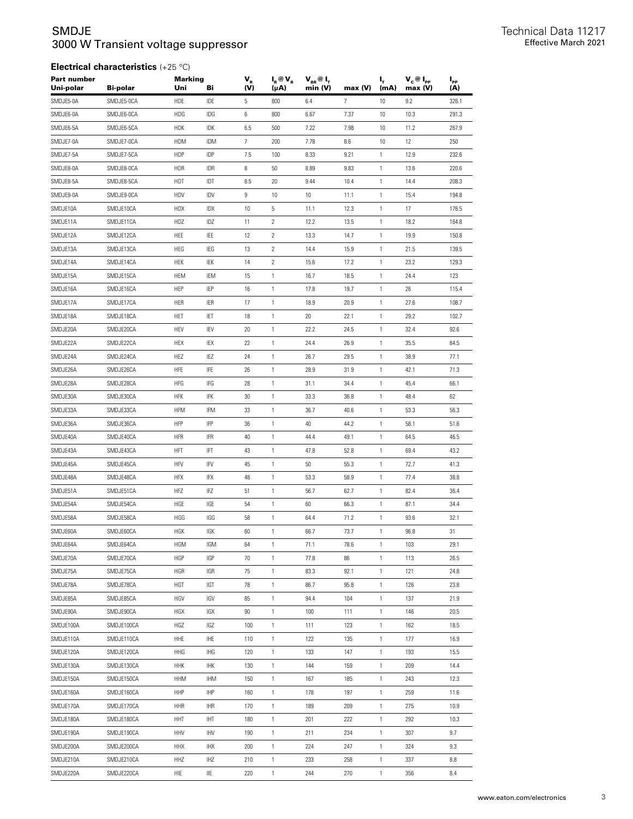### SMDJE 3000 W Transient voltage suppressor

| $V_c @ I_{PP}$<br>$I_{\rm pp}$<br>max (V)<br>(A) |
|--------------------------------------------------|
| 326.1                                            |
| 291.3                                            |
| 267.9                                            |
| 250                                              |
| 232.6                                            |
| 220.6                                            |
| 208.3                                            |
| 194.8                                            |
| 176.5                                            |
| 164.8                                            |
| 150.8                                            |
| 139.5                                            |
| 129.3                                            |
| 123                                              |
| 115.4                                            |
| 108.7                                            |
| 102.7                                            |
| 92.6                                             |
| 84.5                                             |
| 77.1                                             |
| 71.3                                             |
| 66.1                                             |
| 62                                               |
| 56.3                                             |
| 51.6                                             |
| 46.5                                             |
| 43.2                                             |
| 41.3                                             |
| 38.8                                             |
| 36.4                                             |
| 34.4                                             |
| 32.1                                             |
| 31                                               |
| 29.1                                             |
| 26.5                                             |
| 24.8                                             |
| 23.8                                             |
| 21.9                                             |
| 20.5                                             |
| 18.5                                             |
| 16.9                                             |
| 15.5                                             |
| 14.4                                             |
| 12.3                                             |
| 11.6                                             |
| 10.9                                             |
| 10.3                                             |
| 9.7                                              |
| 9.3                                              |
| 8.8                                              |
| 8.4                                              |
|                                                  |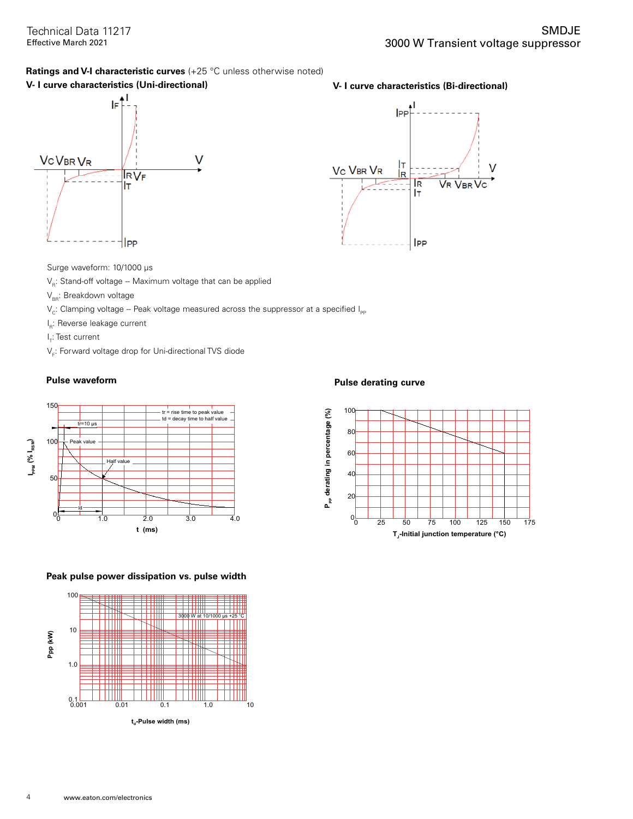### **Ratings and V-I characteristic curves** (+25 °C unless otherwise noted)

### **V- I curve characteristics (Uni-directional) V- I curve characteristics (Bi-directional)**





Surge waveform: 10/1000 μs

- $V_R$ : Stand-off voltage -- Maximum voltage that can be applied
- $V_{BR}$ : Breakdown voltage
- $V_c$ : Clamping voltage -- Peak voltage measured across the suppressor at a specified  $I_{\text{PP}}$
- l<sub>R</sub>: Reverse leakage current
- l<sub>T</sub>: Test current
- $\mathsf{V}_{_{\mathsf{F}}}\mathsf{:}$  Forward voltage drop for Uni-directional TVS diode



### **Peak pulse power dissipation vs. pulse width**



### **Pulse waveform Pulse derating curve**

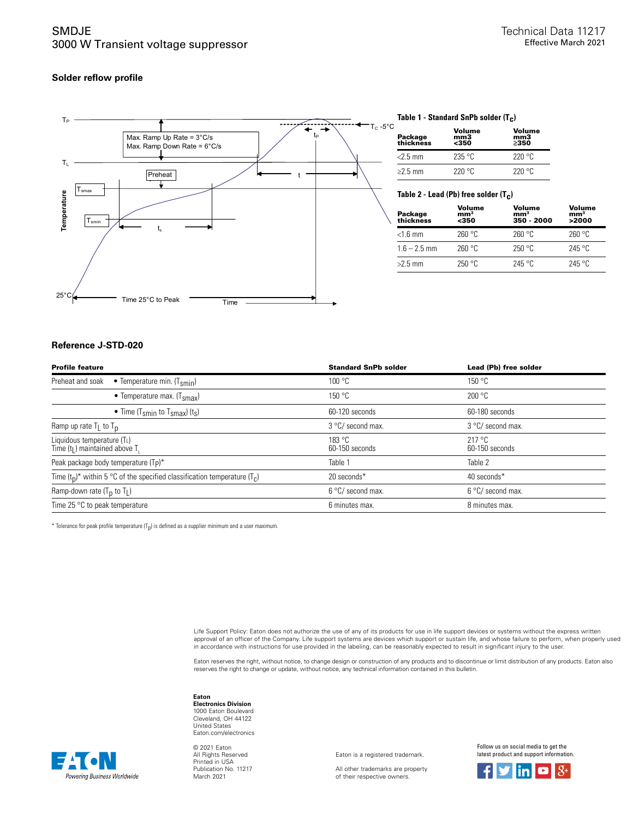### SMDJE 3000 W Transient voltage suppressor

### **Solder reflow profile**



### **Table 1 - Standard SnPb solder (T c )**

| Package<br>thickness | Volume<br>mm3<br>$350$ | Volume<br>mm3<br>>350 |
|----------------------|------------------------|-----------------------|
| $<$ 2.5 mm           | 235 °C                 | 220 °C                |
| $\geq$ 2.5 mm        | 220 °C                 | 220°C                 |

### **Table 2 - Lead (Pb) free solder (T c )**

| Package<br>thickness | Volume<br>mm <sup>3</sup><br><350 | Volume<br>mm <sup>3</sup><br>350 - 2000 | Volume<br>mm <sup>3</sup><br>>2000 |
|----------------------|-----------------------------------|-----------------------------------------|------------------------------------|
| $<$ 1.6 mm           | 260 °C                            | 260 °C                                  | 260 °C                             |
| $1.6 - 2.5$ mm       | 260 °C                            | 250 °C                                  | 245 °C                             |
| $>2.5$ mm            | 250 °C                            | $245$ °C                                | 245 °C                             |

### **Reference J-STD-020**

Powering Business Worldwide

| <b>Profile feature</b>                                                         | <b>Standard SnPb solder</b> | Lead (Pb) free solder    |
|--------------------------------------------------------------------------------|-----------------------------|--------------------------|
| Preheat and soak<br>• Temperature min. $(T_{smin})$                            | 100 °C                      | 150 °C                   |
| • Temperature max. $(Tsmax)$                                                   | 150 °C                      | 200 °C                   |
| • Time (T <sub>smin</sub> to T <sub>smax</sub> ) (t <sub>s</sub> )             | 60-120 seconds              | 60-180 seconds           |
| Ramp up rate $T_L$ to $T_D$                                                    | 3 °C/ second max.           | 3 °C/ second max.        |
| Liquidous temperature (TL)<br>Time $(tL)$ maintained above T <sub>1</sub>      | 183 °C<br>60-150 seconds    | 217 °C<br>60-150 seconds |
| Peak package body temperature (T <sub>P</sub> )*                               | Table 1                     | Table 2                  |
| Time $(t_0)^*$ within 5 °C of the specified classification temperature $(T_c)$ | 20 seconds*                 | 40 seconds*              |
| Ramp-down rate $(T_0$ to $T_L$ )                                               | 6 °C/ second max.           | 6 °C/ second max.        |
| Time 25 $\degree$ C to peak temperature                                        | 6 minutes max.              | 8 minutes max.           |

 $^*$  Tolerance for peak profile temperature (T<sub>p</sub>) is defined as a supplier minimum and a user maximum.

Life Support Policy: Eaton does not authorize the use of any of its products for use in life support devices or systems without the express written approval of an officer of the Company. Life support systems are devices which support or sustain life, and whose failure to perform, when properly used in accordance with instructions for use provided in the labeling, can be reasonably expected to result in significant injury to the user.

Eaton reserves the right, without notice, to change design or construction of any products and to discontinue or limit distribution of any products. Eaton also<br>reserves the right to change or update, without notice, any te

### **Eaton**

**Electronics Division** 1000 Eaton Boulevard Cleveland, OH 44122 United States Eaton.com/electronics

© 2021 Eaton All Rights Reserved Printed in USA Publication No. 11217 March 2021

Eaton is a registered trademark.

All other trademarks are property of their respective owners.

Follow us on social media to get the latest product and support information.